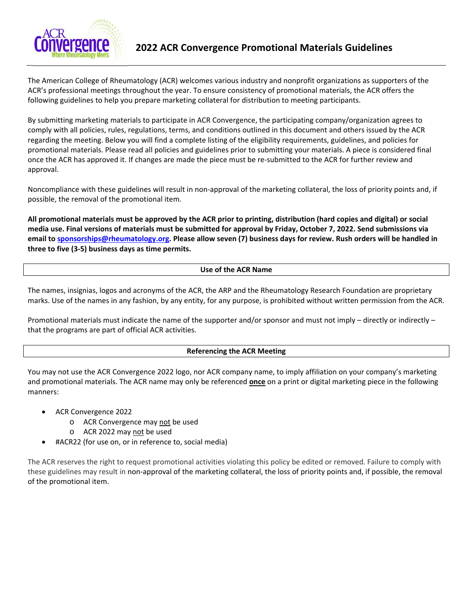

The American College of Rheumatology (ACR) welcomes various industry and nonprofit organizations as supporters of the ACR's professional meetings throughout the year. To ensure consistency of promotional materials, the ACR offers the following guidelines to help you prepare marketing collateral for distribution to meeting participants.

By submitting marketing materials to participate in ACR Convergence, the participating company/organization agrees to comply with all policies, rules, regulations, terms, and conditions outlined in this document and others issued by the ACR regarding the meeting. Below you will find a complete listing of the eligibility requirements, guidelines, and policies for promotional materials. Please read all policies and guidelines prior to submitting your materials. A piece is considered final once the ACR has approved it. If changes are made the piece must be re‐submitted to the ACR for further review and approval.

Noncompliance with these guidelines will result in non‐approval of the marketing collateral, the loss of priority points and, if possible, the removal of the promotional item.

**All promotional materials must be approved by the ACR prior to printing, distribution (hard copies and digital) or social media use. Final versions of materials must be submitted for approval by Friday, October 7, 2022. Send submissions via email to sponsorships@rheumatology.org. Please allow seven (7) business days for review. Rush orders will be handled in three to five (3‐5) business days as time permits.** 

## **Use of the ACR Name**

The names, insignias, logos and acronyms of the ACR, the ARP and the Rheumatology Research Foundation are proprietary marks. Use of the names in any fashion, by any entity, for any purpose, is prohibited without written permission from the ACR.

Promotional materials must indicate the name of the supporter and/or sponsor and must not imply – directly or indirectly – that the programs are part of official ACR activities.

#### **Referencing the ACR Meeting**

You may not use the ACR Convergence 2022 logo, nor ACR company name, to imply affiliation on your company's marketing and promotional materials. The ACR name may only be referenced **once** on a print or digital marketing piece in the following manners:

- ACR Convergence 2022
	- o ACR Convergence may not be used
	- o ACR 2022 may not be used
- #ACR22 (for use on, or in reference to, social media)

The ACR reserves the right to request promotional activities violating this policy be edited or removed. Failure to comply with these guidelines may result in non‐approval of the marketing collateral, the loss of priority points and, if possible, the removal of the promotional item.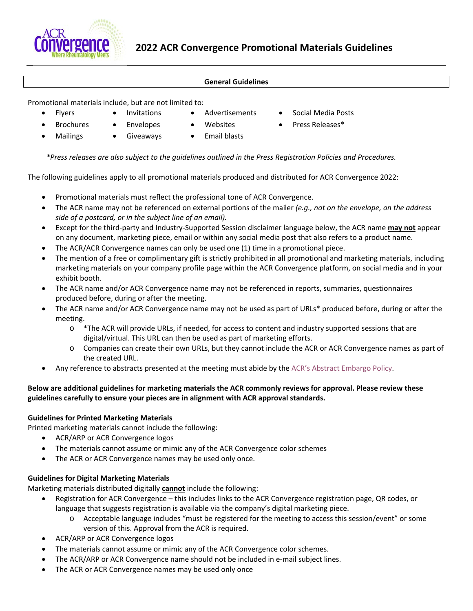

#### **General Guidelines**

Promotional materials include, but are not limited to:

- 
- 
- 
- Flyers Invitations Advertisements Social Media Posts
- Brochures Envelopes Websites Press Releases\*
- 
- 
- Mailings Giveaways Email blasts
	-

The following guidelines apply to all promotional materials produced and distributed for ACR Convergence 2022:

 *\*Press releases are also subject to the guidelines outlined in the Press Registration Policies and Procedures.* 

- Promotional materials must reflect the professional tone of ACR Convergence.
- The ACR name may not be referenced on external portions of the mailer *(e.g., not on the envelope, on the address side of a postcard, or in the subject line of an email).*
- Except for the third‐party and Industry‐Supported Session disclaimer language below, the ACR name **may not** appear on any document, marketing piece, email or within any social media post that also refers to a product name.
- The ACR/ACR Convergence names can only be used one (1) time in a promotional piece.
- The mention of a free or complimentary gift is strictly prohibited in all promotional and marketing materials, including marketing materials on your company profile page within the ACR Convergence platform, on social media and in your exhibit booth.
- The ACR name and/or ACR Convergence name may not be referenced in reports, summaries, questionnaires produced before, during or after the meeting.
- The ACR name and/or ACR Convergence name may not be used as part of URLs\* produced before, during or after the meeting.
	- $\circ$  \*The ACR will provide URLs, if needed, for access to content and industry supported sessions that are digital/virtual. This URL can then be used as part of marketing efforts.
	- o Companies can create their own URLs, but they cannot include the ACR or ACR Convergence names as part of the created URL.
- Any reference to abstracts presented at the meeting must abide by the ACR's Abstract Embargo Policy.

# **Below are additional guidelines for marketing materials the ACR commonly reviews for approval. Please review these guidelines carefully to ensure your pieces are in alignment with ACR approval standards.**

# **Guidelines for Printed Marketing Materials**

Printed marketing materials cannot include the following:

- ACR/ARP or ACR Convergence logos
- The materials cannot assume or mimic any of the ACR Convergence color schemes
- The ACR or ACR Convergence names may be used only once.

# **Guidelines for Digital Marketing Materials**

Marketing materials distributed digitally **cannot** include the following:

- Registration for ACR Convergence this includes links to the ACR Convergence registration page, QR codes, or language that suggests registration is available via the company's digital marketing piece.
	- o Acceptable language includes "must be registered for the meeting to access this session/event" or some version of this. Approval from the ACR is required.
- ACR/ARP or ACR Convergence logos
- The materials cannot assume or mimic any of the ACR Convergence color schemes.
- The ACR/ARP or ACR Convergence name should not be included in e‐mail subject lines.
- The ACR or ACR Convergence names may be used only once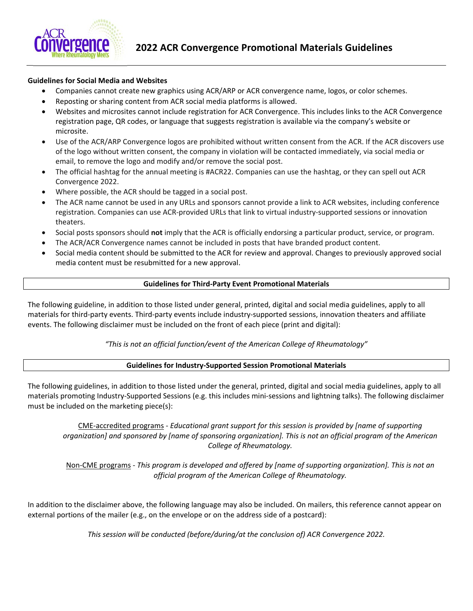

## **Guidelines for Social Media and Websites**

- Companies cannot create new graphics using ACR/ARP or ACR convergence name, logos, or color schemes.
- Reposting or sharing content from ACR social media platforms is allowed.
- Websites and microsites cannot include registration for ACR Convergence. This includes links to the ACR Convergence registration page, QR codes, or language that suggests registration is available via the company's website or microsite.
- Use of the ACR/ARP Convergence logos are prohibited without written consent from the ACR. If the ACR discovers use of the logo without written consent, the company in violation will be contacted immediately, via social media or email, to remove the logo and modify and/or remove the social post.
- The official hashtag for the annual meeting is #ACR22. Companies can use the hashtag, or they can spell out ACR Convergence 2022.
- Where possible, the ACR should be tagged in a social post.
- The ACR name cannot be used in any URLs and sponsors cannot provide a link to ACR websites, including conference registration. Companies can use ACR‐provided URLs that link to virtual industry‐supported sessions or innovation theaters.
- Social posts sponsors should **not** imply that the ACR is officially endorsing a particular product, service, or program.
- The ACR/ACR Convergence names cannot be included in posts that have branded product content.
- Social media content should be submitted to the ACR for review and approval. Changes to previously approved social media content must be resubmitted for a new approval.

#### **Guidelines for Third‐Party Event Promotional Materials**

The following guideline, in addition to those listed under general, printed, digital and social media guidelines, apply to all materials for third‐party events. Third‐party events include industry‐supported sessions, innovation theaters and affiliate events. The following disclaimer must be included on the front of each piece (print and digital):

## *"This is not an official function/event of the American College of Rheumatology"*

## **Guidelines for Industry‐Supported Session Promotional Materials**

The following guidelines, in addition to those listed under the general, printed, digital and social media guidelines, apply to all materials promoting Industry‐Supported Sessions (e.g. this includes mini‐sessions and lightning talks). The following disclaimer must be included on the marketing piece(s):

CME‐accredited programs ‐ *Educational grant support for this session is provided by [name of supporting organization] and sponsored by [name of sponsoring organization]. This is not an official program of the American College of Rheumatology.* 

Non‐CME programs ‐ *This program is developed and offered by [name of supporting organization]. This is not an official program of the American College of Rheumatology.*

In addition to the disclaimer above, the following language may also be included. On mailers, this reference cannot appear on external portions of the mailer (e.g., on the envelope or on the address side of a postcard):

*This session will be conducted (before/during/at the conclusion of) ACR Convergence 2022.*